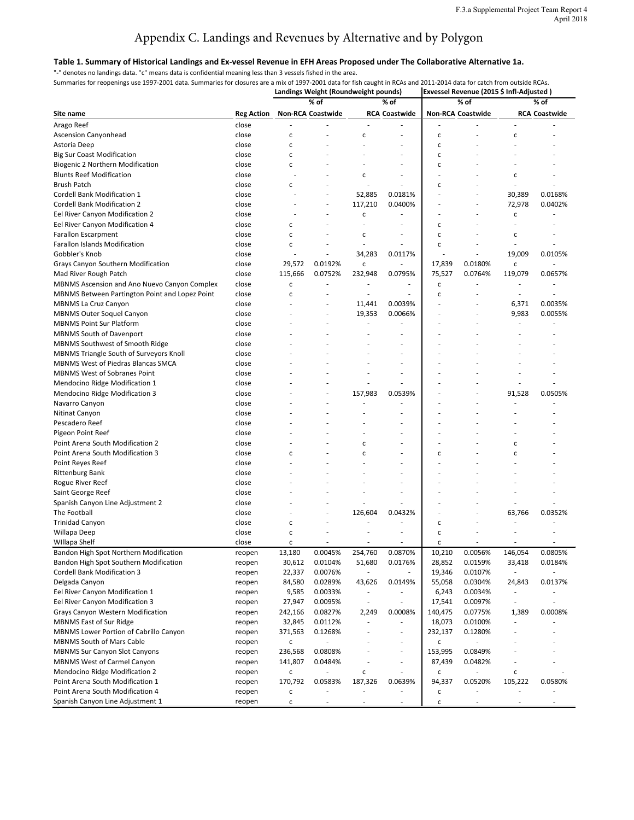#### **Table 1. Summary of Historical Landings and Ex-vessel Revenue in EFH Areas Proposed under The Collaborative Alternative 1a.**

"**-**" denotes no landings data. "c" means data is confidential meaning less than 3 vessels fished in the area.

**Landings Weight (Roundweight pounds) Exvessel Revenue (2015 \$ Infl-Adjusted ) Site name Reg Action % of Non-RCA Coastwide % of RCA Coastwide % of Non-RCA Coastwide % of RCA Coastwide** Arago Reef close - - - - - - - - Ascension Canyonhead and close contract contract contract contract contract contract contract contract contract contract contract contract contract contract contract contract contract contract contract contract contract co Astoria Deep close c - - - c - - - Big Sur Coast Modification and the close contract of the contract of the contract of the contract of the contract of the contract of the contract of the contract of the contract of the contract of the contract of the contr Biogenic 2 Northern Modification and the close contract of the contract of the contract of the contract of the c Blunts Reef Modification and the close that the close contract of the contract of the contract of the contract o Brush Patch close c - - - c - - - Cordell Bank Modification 1 close - - 52,885 0.0181% - - 30,389 0.0168% Cordell Bank Modification 2 Close Cordell Bank Modification 2 close Cordell Bank Modification 2 close Cordell Bank Modification 2 Eel River Canyon Modification 2 close the close of the close of the close of the close of the close of the close Eel River Canyon Modification 4 close contract contract contract contract contract contract contract contract contract contract contract contract contract contract contract contract contract contract contract contract cont Farallon Escarpment close c - c - c - c - Farallon Islands Modification and the close contraction close contraction contraction contraction contraction c Gobbler's Knob close - - 34,283 0.0117% - - 19,009 0.0105% Grays Canyon Southern Modification **close** close 29,572 0.0192% c - 17,839 0.0180% c Mad River Rough Patch **Close** close 115,666 0.0752% 232,948 0.0795% 75,527 0.0764% 119,079 0.0657% MBNMS Ascension and Ano Nuevo Canyon Complex close c - - - c - - - MBNMS Between Partington Point and Lopez Point close c - - - c - - - MBNMS La Cruz Canyon **CONSERVING CONSERVING CONSUMER** COSE REAL COSTS **11,441** 0.0039% | - 6,371 0.0035% MBNMS Outer Soquel Canyon Close Close Close Close Close Close Close Contract Close Contract Close Close Close C MBNMS Point Sur Platform and the set of the close that the set of the set of the set of the set of the set of the set of the set of the set of the set of the set of the set of the set of the set of the set of the set of th MBNMS South of Davenport and the close that the close the set of the set of the set of the set of the set of the set of the set of the set of the set of the set of the set of the set of the set of the set of the set of the MBNMS Southwest of Smooth Ridge - - - - - - - - - - - close MBNMS Triangle South of Surveyors Knoll close MBNMS West of Piedras Blancas SMCA close MBNMS West of Sobranes Point - - - - - - - - - - - - - - - - - close Mendocino Ridge Modification 1 close Mendocino Ridge Modification 3 and School Close and Alexander Close 157,983 0.0539% | Close 157,983 0.0539% | Close Navarro Canyon and the second close that the second close the second close that the second close the second close Nitinat Canyon and the second close that is not constant to the control of the constant of the constant of the constant of the constant of the constant of the constant of the constant of the constant of the constant of the Pescadero Reef close and the close and the close and the contract of the contract of the contract of the contract of the contract of the contract of the contract of the contract of the contract of the contract of the contr Pigeon Point Reef and the close that the close of the contract of the contract of the contract of the contract o Point Arena South Modification 2 close the set of the contract of the contract of the contract of the contract of the contract of the contract of the contract of the contract of the contract of the contract of the contract Point Arena South Modification 3 close c c c - c c - c c - c c - c c - c c - c c - c c c - c c c c c c c c c c Point Reyes Reef close and the set of the close of the contract of the contract of the contract of the contract of the contract of the contract of the contract of the contract of the contract of the contract of the contrac Rittenburg Bank close - - - - - - - - Rogue River Reef close - - - - - - - - Saint George Reef close - - - - - - - - Spanish Canyon Line Adjustment 2 close The Football close - - 126,604 0.0432% - - 63,766 0.0352% Trinidad Canyon and the close choice of the contract of the contract of the contract of the contract of the contract of the contract of the contract of the contract of the contract of the contract of the contract of the co Willapa Deep close c - - - c - - -WIllapa Shelf close c - - - c - - - Bandon High Spot Northern Modification **reopen** 13,180 0.0045% 254,760 0.0870% 10,210 0.0056% 146,054 0.0805% Bandon High Spot Southern Modification **Reading the Compen** 30,612 0.0104% 51,680 0.0176% 28,852 0.0159% 33,418 0.0184%

Summaries for reopenings use 1997-2001 data. Summaries for closures are a mix of 1997-2001 data for fish caught in RCAs and 2011-2014 data for catch from outside RCAs.

| Delgada Canyon                                | reopen | 84,580          | 0.0289%                  | 43,626                   | 0.0149%                      | 55,058  | 0.0304% | 24,843                   | 0.0137% |
|-----------------------------------------------|--------|-----------------|--------------------------|--------------------------|------------------------------|---------|---------|--------------------------|---------|
| Eel River Canyon Modification 1               | reopen | 9,585           | 0.0033%                  | $\overline{\phantom{0}}$ |                              | 6,243   | 0.0034% | $\overline{\phantom{0}}$ |         |
| Eel River Canyon Modification 3               | reopen | 27,947          | 0.0095%                  |                          |                              | 17,541  | 0.0097% | $\overline{\phantom{0}}$ |         |
| <b>Grays Canyon Western Modification</b>      | reopen | 242,166         | 0.0827%                  | 2,249                    | 0.0008%                      | 140,475 | 0.0775% | 1,389                    | 0.0008% |
| <b>MBNMS East of Sur Ridge</b>                | reopen | 32,845          | 0.0112%                  | -                        | $\qquad \qquad \blacksquare$ | 18,073  | 0.0100% | $\overline{\phantom{0}}$ |         |
| <b>MBNMS Lower Portion of Cabrillo Canyon</b> | reopen | 371,563         | 0.1268%                  | $\overline{\phantom{a}}$ | $\overline{\phantom{0}}$     | 232,137 | 0.1280% | $\overline{\phantom{0}}$ |         |
| <b>MBNMS South of Mars Cable</b>              | reopen |                 |                          |                          |                              |         |         |                          |         |
| <b>MBNMS Sur Canyon Slot Canyons</b>          | reopen | 236,568         | 0.0808%                  |                          |                              | 153,995 | 0.0849% |                          |         |
| <b>MBNMS West of Carmel Canyon</b>            | reopen | 141,807         | 0.0484%                  |                          |                              | 87,439  | 0.0482% | $\overline{\phantom{0}}$ |         |
| <b>Mendocino Ridge Modification 2</b>         | reopen | $\sqrt{2}$<br>U | $\overline{\phantom{0}}$ |                          |                              |         |         |                          |         |
| Point Arena South Modification 1              | reopen | 170,792         | 0.0583%                  | 187,326                  | 0.0639%                      | 94,337  | 0.0520% | 105,222                  | 0.0580% |
| Point Arena South Modification 4              | reopen | U               |                          |                          |                              |         |         |                          |         |
| Spanish Canyon Line Adjustment 1              | reopen |                 |                          |                          |                              |         |         |                          |         |

Cordell Bank Modification 3 **Roof 10.000 Freedom** 22,337 0.0076% - 19,346 0.0107% - - - - - - - - - - - - - - - -

# Appendix C. Landings and Revenues by Alternative and by Polygon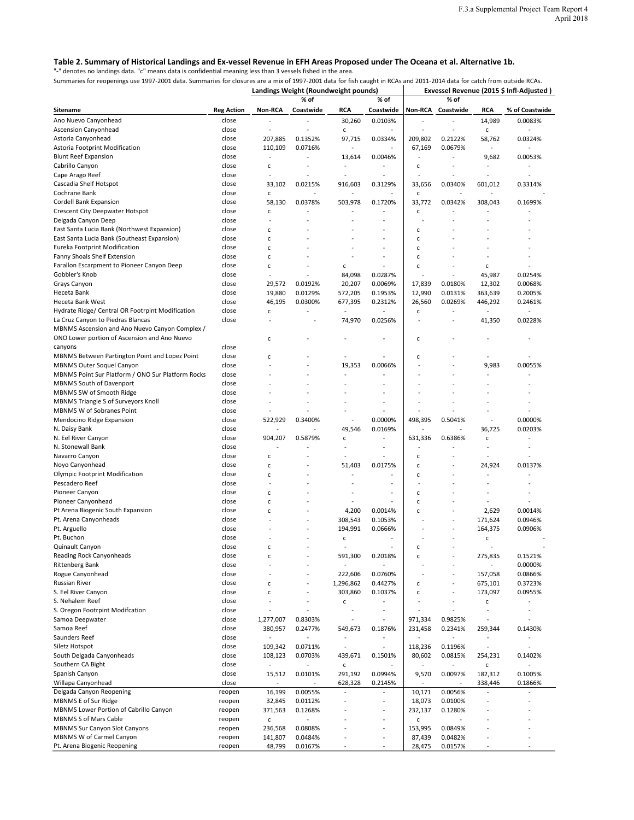#### **Table 2. Summary of Historical Landings and Ex-vessel Revenue in EFH Areas Proposed under The Oceana et al. Alternative 1b.**

"**-**" denotes no landings data. "c" means data is confidential meaning less than 3 vessels fished in the area.

**Landings Weight (Roundweight pounds) Exvessel Revenue (2015 \$ Infl-Adjusted ) Sitename Reg Action Non-RCA % of Coastwide RCA % of Coastwide Non-RCA % of Coastwide RCA % of Coastwide** Ano Nuevo Canyonhead close - - 30,260 0.0103% - - 14,989 0.0083% Ascension Canyonhead and close the close of the contract of the contract of the contract of the contract of the c Astoria Canyonhead 207,885 0.1352% 97,715 0.0334% 209,802 0.2122% 58,762 0.0324% Astoria Footprint Modification and the close that close the 110,109 0.0716% - - - - - - - - - - 67,169 0.0679% Blunt Reef Expansion close - - 13,614 0.0046% - - 9,682 0.0053% Cabrillo Canyon close c - - - c - - - Cape Arago Reef close - - - - - - - - Cascadia Shelf Hotspot **close** close 33,102 0.0215% 916,603 0.3129% 33,656 0.0340% 601,012 0.3314% Cochrane Bank close c - - - c - - - Cordell Bank Expansion close 58,130 0.0378% 503,978 0.1720% 33,772 0.0342% 308,043 0.1699% Crescent City Deepwater Hotspot Contract close contract contract contract contract contract contract contract contract contract contract contract contract contract contract contract contract contract contract contract cont Delgada Canyon Deep close - - - - - - - - East Santa Lucia Bank (Northwest Expansion) close c contract the contract of the contract of contract of the c East Santa Lucia Bank (Southeast Expansion) close c c - - - - - - - - - - - - C Eureka Footprint Modification and the close contraction contraction contraction contraction contraction contraction Fanny Shoals Shelf Extension and the close can contain the containing containing the containing containing the c Farallon Escarpment to Pioneer Canyon Deep close c - c - c - c - Gobbler's Knob close - - 84,098 0.0287% - - 45,987 0.0254% Grays Canyon close 29,572 0.0192% 20,207 0.0069% 17,839 0.0180% 12,302 0.0068% Heceta Bank close 19,880 0.0129% 572,205 0.1953% 12,990 0.0131% 363,639 0.2005% Heceta Bank West close 46,195 0.0300% 677,395 0.2312% 26,560 0.0269% 446,292 0.2461% Hydrate Ridge/ Central OR Footrpint Modification close c can be considered as a considered constant of constant of the constant of the constant of the constant of the constant of the constant of the constant of the constan La Cruz Canyon to Piedras Blancas and the close that the close the close of the close that the close the close MBNMS Ascension and Ano Nuevo Canyon Complex / ONO Lower portion of Ascension and Ano Nuevo canyons can be a set of the contract of the contract of the contract of the contract of the contract of the contract of the contract of the contract of the contract of the contract of the contract of the contract of the co c  $-c$  -  $-c$   $c$  -  $-c$ MBNMS Between Partington Point and Lopez Point close c can contain the contact of contact contact contact contact contact contact contact contact contact contact contact contact contact contact contact contact contact cont MBNMS Outer Soquel Canyon and the Cose the Close of the close that the close the close of the close of the close of the close the close of the close of the close of the close of the close of the close of the close of the c MBNMS Point Sur Platform / ONO Sur Platform Rocks close - - - - - - - - MBNMS South of Davenport and the close the second close the second close that is not a second close the second c MBNMS SW of Smooth Ridge and the close and the close of the close and the close of the close of the close of the close MBNMS Triangle S of Surveyors Knoll close close -MBNMS W of Sobranes Point close - - - - - - - - Mendocino Ridge Expansion and the Cose that the S22,929 0.3400% - 0.0000% 498,395 0.5041% - 0.0000% N. Daisy Bank close - - 49,546 0.0169% | - - 36,725 0.0203% N. Eel River Canyon **close** close 904,207 0.5879% c - 631,336 0.6386% c - - 0.6386% c N. Stonewall Bank close the store of the store of the store of the store of the store of the store of the store Navarro Canyon close c - - - c - - - Noyo Canyonhead 24,924 20.0137% close c - 51,403 0.0175% c - 24,924 0.0137% Olympic Footprint Modification and the close contract of the contract of the contract of the contract of the c Pescadero Reef contracts of close the close of the contracts of the contracts of the contracts of the contracts of the contracts of the contracts of the contracts of the contracts of the contracts of the contracts of the c Pioneer Canyon and the contract of the contract of the contract of the contract of the contract of the contract of the contract of the contract of the contract of the contract of the contract of the contract of the contrac Pioneer Canyonhead and the close can be close to compute the contract of the contract of the contract of the c Pt Arena Biogenic South Expansion **choice** c c - 4,200 0.0014% c - 2,629 0.0014% Pt. Arena Canyonheads **Close** - - 308,543 0.1053% | - 171,624 0.0946% Pt. Arguello close - - 194,991 0.0666% - - 164,375 0.0906% Pt. Buchon and the close that the close the contract of the contract of the contract of the contract of the contract of the contract of the contract of the contract of the contract of the contract of the contract of the co Quinault Canyon and the close contract of the contract of the contract of the contract of the contract of the c Reading Rock Canyonheads **choice** c c c c c 591,300 0.2018% c c c 275,835 0.1521%

Summaries for reopenings use 1997-2001 data. Summaries for closures are a mix of 1997-2001 data for fish caught in RCAs and 2011-2014 data for catch from outside RCAs.

| <b>Rittenberg Bank</b>                        | close  |           |                          |           |                          |         |                          |         | 0.0000% |
|-----------------------------------------------|--------|-----------|--------------------------|-----------|--------------------------|---------|--------------------------|---------|---------|
| Rogue Canyonhead                              | close  |           |                          | 222,606   | 0.0760%                  |         |                          | 157,058 | 0.0866% |
| <b>Russian River</b>                          | close  | C         | $\overline{\phantom{a}}$ | 1,296,862 | 0.4427%                  | c       | $\overline{\phantom{0}}$ | 675,101 | 0.3723% |
| S. Eel River Canyon                           | close  | C         |                          | 303,860   | 0.1037%                  | c       |                          | 173,097 | 0.0955% |
| S. Nehalem Reef                               | close  |           |                          | C         |                          |         |                          | C       |         |
| S. Oregon Footrpint Modifcation               | close  |           |                          |           |                          |         |                          |         |         |
| Samoa Deepwater                               | close  | 1,277,007 | 0.8303%                  |           |                          | 971,334 | 0.9825%                  |         |         |
| Samoa Reef                                    | close  | 380,957   | 0.2477%                  | 549,673   | 0.1876%                  | 231,458 | 0.2341%                  | 259,344 | 0.1430% |
| Saunders Reef                                 | close  |           |                          |           |                          |         |                          |         |         |
| Siletz Hotspot                                | close  | 109,342   | 0.0711%                  |           |                          | 118,236 | 0.1196%                  |         |         |
| South Delgada Canyonheads                     | close  | 108,123   | 0.0703%                  | 439,671   | 0.1501%                  | 80,602  | 0.0815%                  | 254,231 | 0.1402% |
| Southern CA Bight                             | close  |           |                          | C         |                          |         |                          | C       |         |
| Spanish Canyon                                | close  | 15,512    | 0.0101%                  | 291,192   | 0.0994%                  | 9,570   | 0.0097%                  | 182,312 | 0.1005% |
| Willapa Canyonhead                            | close  |           |                          | 628,328   | 0.2145%                  |         |                          | 338,446 | 0.1866% |
| Delgada Canyon Reopening                      | reopen | 16,199    | 0.0055%                  |           |                          | 10,171  | 0.0056%                  |         |         |
| MBNMS E of Sur Ridge                          | reopen | 32,845    | 0.0112%                  |           | $\overline{\phantom{a}}$ | 18,073  | 0.0100%                  |         |         |
| <b>MBNMS Lower Portion of Cabrillo Canyon</b> | reopen | 371,563   | 0.1268%                  |           | $\overline{\phantom{a}}$ | 232,137 | 0.1280%                  |         |         |
| <b>MBNMS S of Mars Cable</b>                  | reopen | C         |                          |           | $\overline{\phantom{a}}$ | c       |                          |         |         |
| <b>MBNMS Sur Canyon Slot Canyons</b>          | reopen | 236,568   | 0.0808%                  |           | $\overline{\phantom{a}}$ | 153,995 | 0.0849%                  |         |         |
| MBNMS W of Carmel Canyon                      | reopen | 141,807   | 0.0484%                  |           | $\overline{\phantom{a}}$ | 87,439  | 0.0482%                  |         |         |
| Pt. Arena Biogenic Reopening                  | reopen | 48,799    | 0.0167%                  |           |                          | 28,475  | 0.0157%                  |         |         |